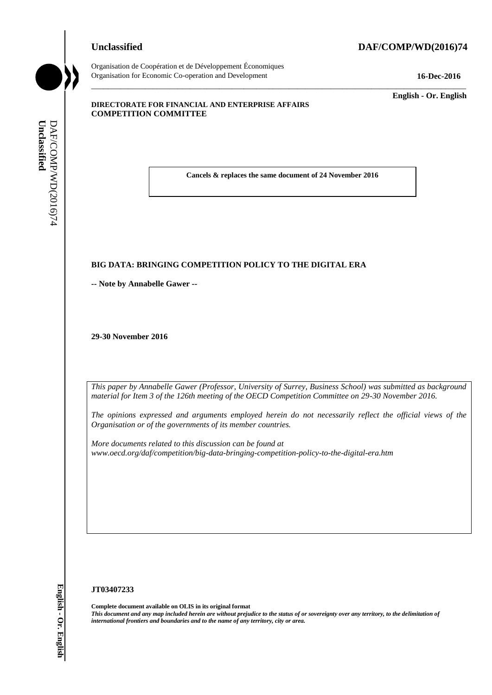#### **Unclassified DAF/COMP/WD(2016)74**



Organisation de Coopération et de Développement Économiques Organisation for Economic Co-operation and Development **16-Dec-2016**

\_\_\_\_\_\_\_\_\_\_\_\_\_ **English - Or. English**

#### **DIRECTORATE FOR FINANCIAL AND ENTERPRISE AFFAIRS COMPETITION COMMITTEE**

**Cancels & replaces the same document of 24 November 2016**

\_\_\_\_\_\_\_\_\_\_\_\_\_\_\_\_\_\_\_\_\_\_\_\_\_\_\_\_\_\_\_\_\_\_\_\_\_\_\_\_\_\_\_\_\_\_\_\_\_\_\_\_\_\_\_\_\_\_\_\_\_\_\_\_\_\_\_\_\_\_\_\_\_\_\_\_\_\_\_\_\_\_\_\_\_\_\_\_\_\_\_

#### **BIG DATA: BRINGING COMPETITION POLICY TO THE DIGITAL ERA**

**-- Note by Annabelle Gawer --**

**29-30 November 2016**

*This paper by Annabelle Gawer (Professor, University of Surrey, Business School) was submitted as background material for Item 3 of the 126th meeting of the OECD Competition Committee on 29-30 November 2016.*

*The opinions expressed and arguments employed herein do not necessarily reflect the official views of the Organisation or of the governments of its member countries.*

*More documents related to this discussion can be found at www.oecd.org/daf/competition/big-data-bringing-competition-policy-to-the-digital-era.htm*

#### **JT03407233**

**Complete document available on OLIS in its original format** *This document and any map included herein are without prejudice to the status of or sovereignty over any territory, to the delimitation of*  **i international frontiers and boundaries and boundaries and boundaries and boundaries and control international frontiers and boundaries and control international for home 3 of the 120th meeting of the OECD Competition**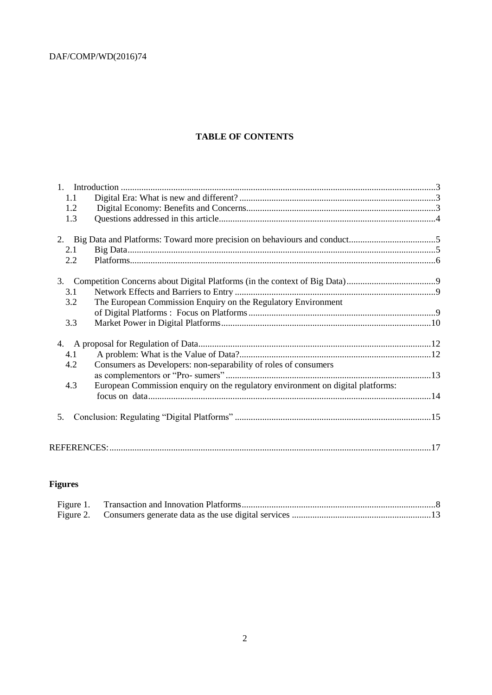#### **TABLE OF CONTENTS**

| 1.1 |                                                                                 |  |
|-----|---------------------------------------------------------------------------------|--|
| 1.2 |                                                                                 |  |
| 1.3 |                                                                                 |  |
|     |                                                                                 |  |
| 2.1 |                                                                                 |  |
| 2.2 |                                                                                 |  |
| 3.  |                                                                                 |  |
| 3.1 |                                                                                 |  |
| 3.2 | The European Commission Enquiry on the Regulatory Environment                   |  |
|     |                                                                                 |  |
| 3.3 |                                                                                 |  |
|     |                                                                                 |  |
| 4.1 |                                                                                 |  |
| 4.2 | Consumers as Developers: non-separability of roles of consumers                 |  |
|     |                                                                                 |  |
| 4.3 | European Commission enquiry on the regulatory environment on digital platforms: |  |
|     |                                                                                 |  |
| 5.  |                                                                                 |  |
|     |                                                                                 |  |
|     |                                                                                 |  |

### **Figures**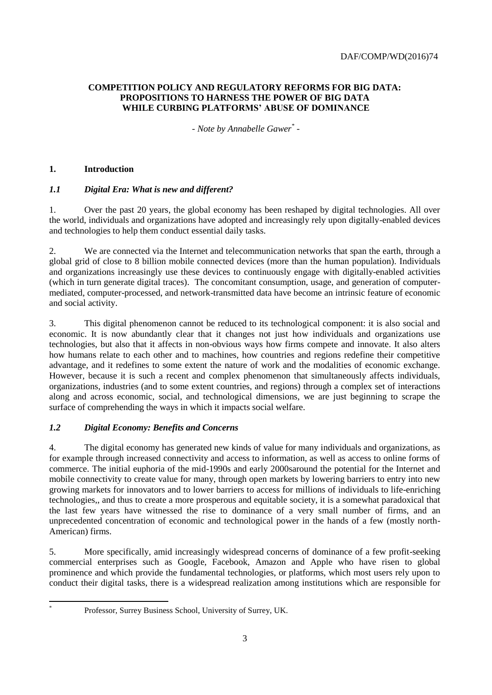#### <span id="page-2-0"></span>**COMPETITION POLICY AND REGULATORY REFORMS FOR BIG DATA: PROPOSITIONS TO HARNESS THE POWER OF BIG DATA WHILE CURBING PLATFORMS' ABUSE OF DOMINANCE**

*- Note by Annabelle Gawer \* -*

#### <span id="page-2-1"></span>**1. Introduction**

l \*

#### <span id="page-2-2"></span>*1.1 Digital Era: What is new and different?*

1. Over the past 20 years, the global economy has been reshaped by digital technologies. All over the world, individuals and organizations have adopted and increasingly rely upon digitally-enabled devices and technologies to help them conduct essential daily tasks.

2. We are connected via the Internet and telecommunication networks that span the earth, through a global grid of close to 8 billion mobile connected devices (more than the human population). Individuals and organizations increasingly use these devices to continuously engage with digitally-enabled activities (which in turn generate digital traces). The concomitant consumption, usage, and generation of computermediated, computer-processed, and network-transmitted data have become an intrinsic feature of economic and social activity.

3. This digital phenomenon cannot be reduced to its technological component: it is also social and economic. It is now abundantly clear that it changes not just how individuals and organizations use technologies, but also that it affects in non-obvious ways how firms compete and innovate. It also alters how humans relate to each other and to machines, how countries and regions redefine their competitive advantage, and it redefines to some extent the nature of work and the modalities of economic exchange. However, because it is such a recent and complex phenomenon that simultaneously affects individuals, organizations, industries (and to some extent countries, and regions) through a complex set of interactions along and across economic, social, and technological dimensions, we are just beginning to scrape the surface of comprehending the ways in which it impacts social welfare.

#### <span id="page-2-3"></span>*1.2 Digital Economy: Benefits and Concerns*

4. The digital economy has generated new kinds of value for many individuals and organizations, as for example through increased connectivity and access to information, as well as access to online forms of commerce. The initial euphoria of the mid-1990s and early 2000saround the potential for the Internet and mobile connectivity to create value for many, through open markets by lowering barriers to entry into new growing markets for innovators and to lower barriers to access for millions of individuals to life-enriching technologies,, and thus to create a more prosperous and equitable society, it is a somewhat paradoxical that the last few years have witnessed the rise to dominance of a very small number of firms, and an unprecedented concentration of economic and technological power in the hands of a few (mostly north-American) firms.

5. More specifically, amid increasingly widespread concerns of dominance of a few profit-seeking commercial enterprises such as Google, Facebook, Amazon and Apple who have risen to global prominence and which provide the fundamental technologies, or platforms, which most users rely upon to conduct their digital tasks, there is a widespread realization among institutions which are responsible for

Professor, Surrey Business School, University of Surrey, UK.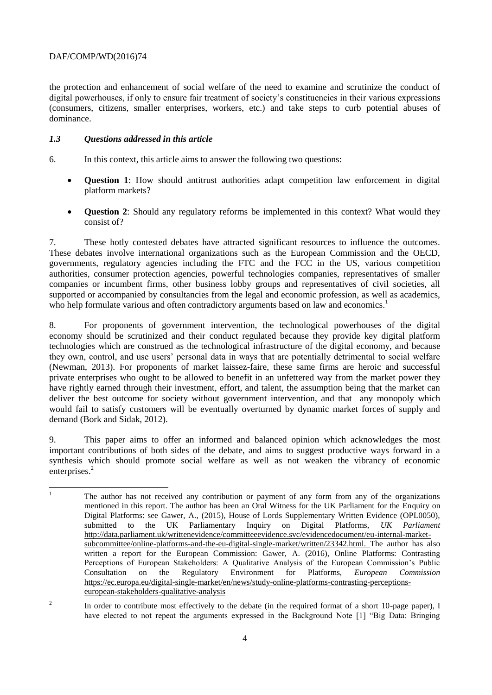the protection and enhancement of social welfare of the need to examine and scrutinize the conduct of digital powerhouses, if only to ensure fair treatment of society's constituencies in their various expressions (consumers, citizens, smaller enterprises, workers, etc.) and take steps to curb potential abuses of dominance.

#### <span id="page-3-0"></span>*1.3 Questions addressed in this article*

- 6. In this context, this article aims to answer the following two questions:
	- **Question 1**: How should antitrust authorities adapt competition law enforcement in digital platform markets?
	- **Question 2**: Should any regulatory reforms be implemented in this context? What would they consist of?

7. These hotly contested debates have attracted significant resources to influence the outcomes. These debates involve international organizations such as the European Commission and the OECD, governments, regulatory agencies including the FTC and the FCC in the US, various competition authorities, consumer protection agencies, powerful technologies companies, representatives of smaller companies or incumbent firms, other business lobby groups and representatives of civil societies, all supported or accompanied by consultancies from the legal and economic profession, as well as academics, who help formulate various and often contradictory arguments based on law and economics.<sup>1</sup>

8. For proponents of government intervention, the technological powerhouses of the digital economy should be scrutinized and their conduct regulated because they provide key digital platform technologies which are construed as the technological infrastructure of the digital economy, and because they own, control, and use users' personal data in ways that are potentially detrimental to social welfare (Newman, 2013). For proponents of market laissez-faire, these same firms are heroic and successful private enterprises who ought to be allowed to benefit in an unfettered way from the market power they have rightly earned through their investment, effort, and talent, the assumption being that the market can deliver the best outcome for society without government intervention, and that any monopoly which would fail to satisfy customers will be eventually overturned by dynamic market forces of supply and demand (Bork and Sidak, 2012).

9. This paper aims to offer an informed and balanced opinion which acknowledges the most important contributions of both sides of the debate, and aims to suggest productive ways forward in a synthesis which should promote social welfare as well as not weaken the vibrancy of economic enterprises.<sup>2</sup>

 $\bar{1}$ The author has not received any contribution or payment of any form from any of the organizations mentioned in this report. The author has been an Oral Witness for the UK Parliament for the Enquiry on Digital Platforms: see Gawer, A., (2015), House of Lords Supplementary Written Evidence (OPL0050), submitted to the UK Parliamentary Inquiry on Digital Platforms, *UK Parliament* [http://data.parliament.uk/writtenevidence/committeeevidence.svc/evidencedocument/eu-internal-market](http://data.parliament.uk/writtenevidence/committeeevidence.svc/evidencedocument/eu-internal-market-subcommittee/online-platforms-and-the-eu-digital-single-market/written/23342.html)[subcommittee/online-platforms-and-the-eu-digital-single-market/written/23342.html.](http://data.parliament.uk/writtenevidence/committeeevidence.svc/evidencedocument/eu-internal-market-subcommittee/online-platforms-and-the-eu-digital-single-market/written/23342.html) The author has also written a report for the European Commission: Gawer, A. (2016), Online Platforms: Contrasting Perceptions of European Stakeholders: A Qualitative Analysis of the European Commission's Public Consultation on the Regulatory Environment for Platforms, *European Commission* [https://ec.europa.eu/digital-single-market/en/news/study-online-platforms-contrasting-perceptions](https://ec.europa.eu/digital-single-market/en/news/study-online-platforms-contrasting-perceptions-european-stakeholders-qualitative-analysis)[european-stakeholders-qualitative-analysis](https://ec.europa.eu/digital-single-market/en/news/study-online-platforms-contrasting-perceptions-european-stakeholders-qualitative-analysis)

 $\overline{2}$ In order to contribute most effectively to the debate (in the required format of a short 10-page paper), I have elected to not repeat the arguments expressed in the Background Note [1] "Big Data: Bringing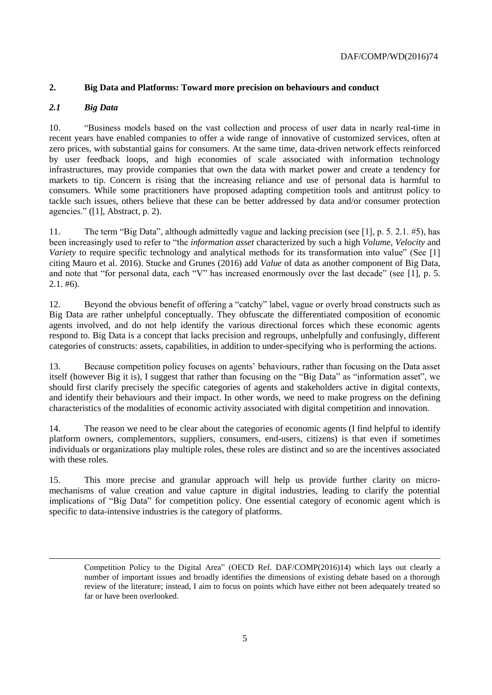#### <span id="page-4-0"></span>**2. Big Data and Platforms: Toward more precision on behaviours and conduct**

#### <span id="page-4-1"></span>*2.1 Big Data*

l

10. "Business models based on the vast collection and process of user data in nearly real-time in recent years have enabled companies to offer a wide range of innovative of customized services, often at zero prices, with substantial gains for consumers. At the same time, data-driven network effects reinforced by user feedback loops, and high economies of scale associated with information technology infrastructures, may provide companies that own the data with market power and create a tendency for markets to tip. Concern is rising that the increasing reliance and use of personal data is harmful to consumers. While some practitioners have proposed adapting competition tools and antitrust policy to tackle such issues, others believe that these can be better addressed by data and/or consumer protection agencies." ([1], Abstract, p. 2).

11. The term "Big Data", although admittedly vague and lacking precision (see [1], p. 5. 2.1. #5), has been increasingly used to refer to "the *information asset* characterized by such a high *Volume*, *Velocity* and *Variety* to require specific technology and analytical methods for its transformation into value" (See [1] citing Mauro et al. 2016). Stucke and Grunes (2016) add *Value* of data as another component of Big Data, and note that "for personal data, each "V" has increased enormously over the last decade" (see [1], p. 5.  $2.1. \text{#}6$ ).

12. Beyond the obvious benefit of offering a "catchy" label, vague or overly broad constructs such as Big Data are rather unhelpful conceptually. They obfuscate the differentiated composition of economic agents involved, and do not help identify the various directional forces which these economic agents respond to. Big Data is a concept that lacks precision and regroups, unhelpfully and confusingly, different categories of constructs: assets, capabilities, in addition to under-specifying who is performing the actions.

13. Because competition policy focuses on agents' behaviours, rather than focusing on the Data asset itself (however Big it is), I suggest that rather than focusing on the "Big Data" as "information asset", we should first clarify precisely the specific categories of agents and stakeholders active in digital contexts, and identify their behaviours and their impact. In other words, we need to make progress on the defining characteristics of the modalities of economic activity associated with digital competition and innovation.

14. The reason we need to be clear about the categories of economic agents (I find helpful to identify platform owners, complementors, suppliers, consumers, end-users, citizens) is that even if sometimes individuals or organizations play multiple roles, these roles are distinct and so are the incentives associated with these roles.

15. This more precise and granular approach will help us provide further clarity on micromechanisms of value creation and value capture in digital industries, leading to clarify the potential implications of "Big Data" for competition policy. One essential category of economic agent which is specific to data-intensive industries is the category of platforms.

Competition Policy to the Digital Area" (OECD Ref. DAF/COMP(2016)14) which lays out clearly a number of important issues and broadly identifies the dimensions of existing debate based on a thorough review of the literature; instead, I aim to focus on points which have either not been adequately treated so far or have been overlooked.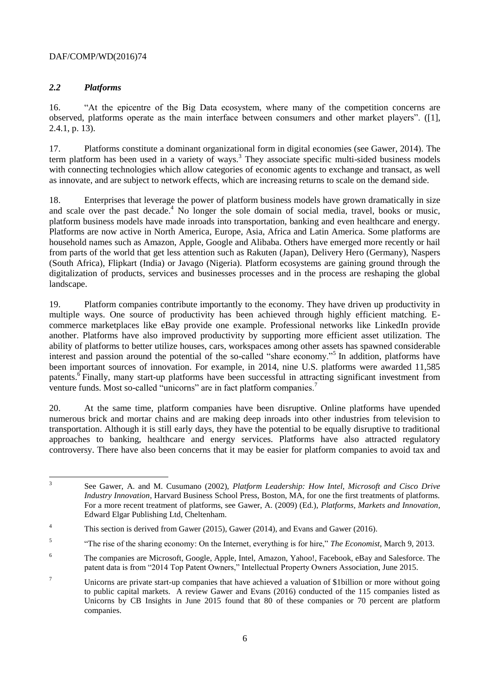#### <span id="page-5-0"></span>*2.2 Platforms*

16. "At the epicentre of the Big Data ecosystem, where many of the competition concerns are observed, platforms operate as the main interface between consumers and other market players". ([1], 2.4.1, p. 13).

17. Platforms constitute a dominant organizational form in digital economies (see Gawer, 2014). The term platform has been used in a variety of ways.<sup>3</sup> They associate specific multi-sided business models with connecting technologies which allow categories of economic agents to exchange and transact, as well as innovate, and are subject to network effects, which are increasing returns to scale on the demand side.

18. Enterprises that leverage the power of platform business models have grown dramatically in size and scale over the past decade. $4\,$  No longer the sole domain of social media, travel, books or music, platform business models have made inroads into transportation, banking and even healthcare and energy. Platforms are now active in North America, Europe, Asia, Africa and Latin America. Some platforms are household names such as Amazon, Apple, Google and Alibaba. Others have emerged more recently or hail from parts of the world that get less attention such as Rakuten (Japan), Delivery Hero (Germany), Naspers (South Africa), Flipkart (India) or Javago (Nigeria). Platform ecosystems are gaining ground through the digitalization of products, services and businesses processes and in the process are reshaping the global landscape.

19. Platform companies contribute importantly to the economy. They have driven up productivity in multiple ways. One source of productivity has been achieved through highly efficient matching. Ecommerce marketplaces like eBay provide one example. Professional networks like LinkedIn provide another. Platforms have also improved productivity by supporting more efficient asset utilization. The ability of platforms to better utilize houses, cars, workspaces among other assets has spawned considerable interest and passion around the potential of the so-called "share economy."<sup>5</sup> In addition, platforms have been important sources of innovation. For example, in 2014, nine U.S. platforms were awarded 11,585 patents.<sup>6</sup> Finally, many start-up platforms have been successful in attracting significant investment from venture funds. Most so-called "unicorns" are in fact platform companies.<sup>7</sup>

20. At the same time, platform companies have been disruptive. Online platforms have upended numerous brick and mortar chains and are making deep inroads into other industries from television to transportation. Although it is still early days, they have the potential to be equally disruptive to traditional approaches to banking, healthcare and energy services. Platforms have also attracted regulatory controversy. There have also been concerns that it may be easier for platform companies to avoid tax and

 3 See Gawer, A. and M. Cusumano (2002), *Platform Leadership: How Intel, Microsoft and Cisco Drive Industry Innovation*, Harvard Business School Press, Boston, MA, for one the first treatments of platforms. For a more recent treatment of platforms, see Gawer, A. (2009) (Ed.), *Platforms, Markets and Innovation*, Edward Elgar Publishing Ltd, Cheltenham.

<sup>&</sup>lt;sup>4</sup> This section is derived from Gawer (2015), Gawer (2014), and Evans and Gawer (2016).

<sup>5</sup> "The rise of the sharing economy: On the Internet, everything is for hire," *The Economist*, March 9, 2013.

<sup>6</sup> The companies are Microsoft, Google, Apple, Intel, Amazon, Yahoo!, Facebook, eBay and Salesforce. The patent data is from "2014 Top Patent Owners," Intellectual Property Owners Association, June 2015.

<sup>&</sup>lt;sup>7</sup> Unicorns are private start-up companies that have achieved a valuation of \$1billion or more without going to public capital markets. A review Gawer and Evans (2016) conducted of the 115 companies listed as Unicorns by CB Insights in June 2015 found that 80 of these companies or 70 percent are platform companies.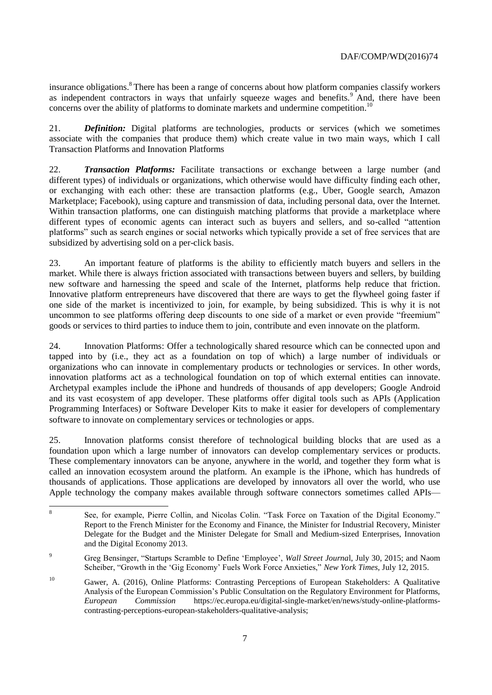insurance obligations.<sup>8</sup> There has been a range of concerns about how platform companies classify workers as independent contractors in ways that unfairly squeeze wages and benefits.<sup>9</sup> And, there have been concerns over the ability of platforms to dominate markets and undermine competition.<sup>10</sup>

21. *Definition:* Digital platforms are technologies, products or services (which we sometimes associate with the companies that produce them) which create value in two main ways, which I call Transaction Platforms and Innovation Platforms

22. *Transaction Platforms:* Facilitate transactions or exchange between a large number (and different types) of individuals or organizations, which otherwise would have difficulty finding each other, or exchanging with each other: these are transaction platforms (e.g., Uber, Google search, Amazon Marketplace; Facebook), using capture and transmission of data, including personal data, over the Internet. Within transaction platforms, one can distinguish matching platforms that provide a marketplace where different types of economic agents can interact such as buyers and sellers, and so-called "attention platforms" such as search engines or social networks which typically provide a set of free services that are subsidized by advertising sold on a per-click basis.

23. An important feature of platforms is the ability to efficiently match buyers and sellers in the market. While there is always friction associated with transactions between buyers and sellers, by building new software and harnessing the speed and scale of the Internet, platforms help reduce that friction. Innovative platform entrepreneurs have discovered that there are ways to get the flywheel going faster if one side of the market is incentivized to join, for example, by being subsidized. This is why it is not uncommon to see platforms offering deep discounts to one side of a market or even provide "freemium" goods or services to third parties to induce them to join, contribute and even innovate on the platform.

24. Innovation Platforms: Offer a technologically shared resource which can be connected upon and tapped into by (i.e., they act as a foundation on top of which) a large number of individuals or organizations who can innovate in complementary products or technologies or services. In other words, innovation platforms act as a technological foundation on top of which external entities can innovate. Archetypal examples include the iPhone and hundreds of thousands of app developers; Google Android and its vast ecosystem of app developer. These platforms offer digital tools such as APIs (Application Programming Interfaces) or Software Developer Kits to make it easier for developers of complementary software to innovate on complementary services or technologies or apps.

25. Innovation platforms consist therefore of technological building blocks that are used as a foundation upon which a large number of innovators can develop complementary services or products. These complementary innovators can be anyone, anywhere in the world, and together they form what is called an innovation ecosystem around the platform. An example is the iPhone, which has hundreds of thousands of applications. Those applications are developed by innovators all over the world, who use Apple technology the company makes available through software connectors sometimes called APIs—

 8 See, for example, Pierre Collin, and Nicolas Colin. "Task Force on Taxation of the Digital Economy." Report to the French Minister for the Economy and Finance, the Minister for Industrial Recovery, Minister Delegate for the Budget and the Minister Delegate for Small and Medium-sized Enterprises, Innovation and the Digital Economy 2013.

<sup>9</sup> Greg Bensinger, "Startups Scramble to Define 'Employee', *Wall Street Journa*l, July 30, 2015; and Naom Scheiber, "Growth in the 'Gig Economy' Fuels Work Force Anxieties," *New York Times*, July 12, 2015.

<sup>&</sup>lt;sup>10</sup> Gawer, A. (2016), Online Platforms: Contrasting Perceptions of European Stakeholders: A Qualitative Analysis of the European Commission's Public Consultation on the Regulatory Environment for Platforms, *European Commission* https://ec.europa.eu/digital-single-market/en/news/study-online-platformscontrasting-perceptions-european-stakeholders-qualitative-analysis;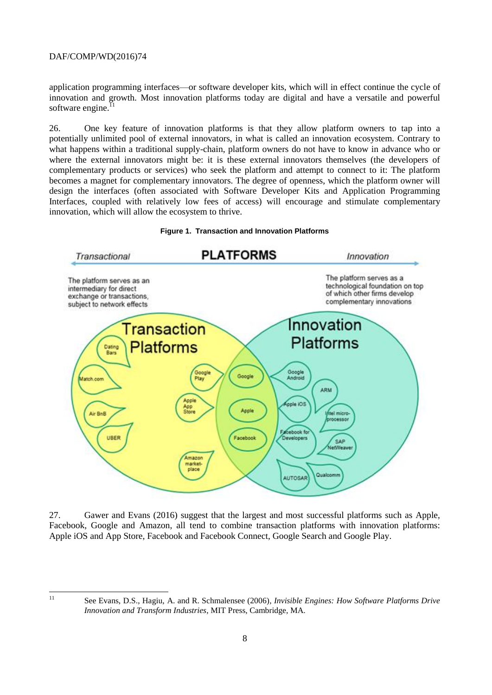application programming interfaces—or software developer kits, which will in effect continue the cycle of innovation and growth. Most innovation platforms today are digital and have a versatile and powerful software engine. $^{11}$ 

26. One key feature of innovation platforms is that they allow platform owners to tap into a potentially unlimited pool of external innovators, in what is called an innovation ecosystem. Contrary to what happens within a traditional supply-chain, platform owners do not have to know in advance who or where the external innovators might be: it is these external innovators themselves (the developers of complementary products or services) who seek the platform and attempt to connect to it: The platform becomes a magnet for complementary innovators. The degree of openness, which the platform owner will design the interfaces (often associated with Software Developer Kits and Application Programming Interfaces, coupled with relatively low fees of access) will encourage and stimulate complementary innovation, which will allow the ecosystem to thrive.

<span id="page-7-0"></span>



27. Gawer and Evans (2016) suggest that the largest and most successful platforms such as Apple, Facebook, Google and Amazon, all tend to combine transaction platforms with innovation platforms: Apple iOS and App Store, Facebook and Facebook Connect, Google Search and Google Play.

 $\overline{11}$ 

<sup>11</sup> See Evans, D.S., Hagiu, A. and R. Schmalensee (2006)*, Invisible Engines: How Software Platforms Drive Innovation and Transform Industries*, MIT Press, Cambridge, MA.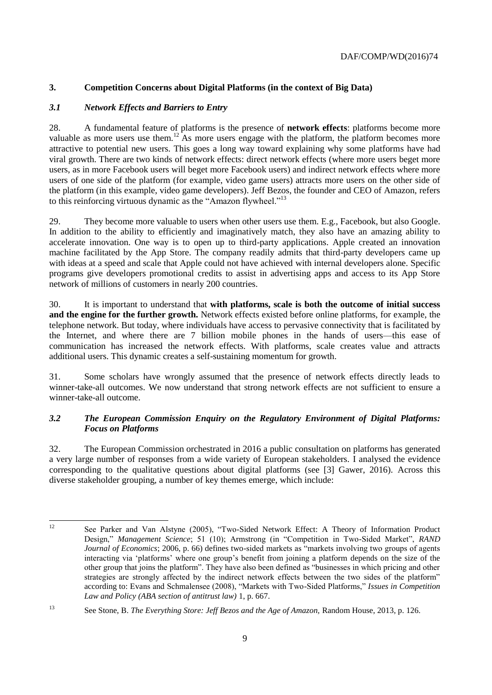#### <span id="page-8-0"></span>**3. Competition Concerns about Digital Platforms (in the context of Big Data)**

#### <span id="page-8-1"></span>*3.1 Network Effects and Barriers to Entry*

28. A fundamental feature of platforms is the presence of **network effects**: platforms become more valuable as more users use them.<sup>12</sup> As more users engage with the platform, the platform becomes more attractive to potential new users. This goes a long way toward explaining why some platforms have had viral growth. There are two kinds of network effects: direct network effects (where more users beget more users, as in more Facebook users will beget more Facebook users) and indirect network effects where more users of one side of the platform (for example, video game users) attracts more users on the other side of the platform (in this example, video game developers). Jeff Bezos, the founder and CEO of Amazon, refers to this reinforcing virtuous dynamic as the "Amazon flywheel."<sup>13</sup>

29. They become more valuable to users when other users use them. E.g., Facebook, but also Google. In addition to the ability to efficiently and imaginatively match, they also have an amazing ability to accelerate innovation. One way is to open up to third-party applications. Apple created an innovation machine facilitated by the App Store. The company readily admits that third-party developers came up with ideas at a speed and scale that Apple could not have achieved with internal developers alone. Specific programs give developers promotional credits to assist in advertising apps and access to its App Store network of millions of customers in nearly 200 countries.

30. It is important to understand that **with platforms, scale is both the outcome of initial success and the engine for the further growth.** Network effects existed before online platforms, for example, the telephone network. But today, where individuals have access to pervasive connectivity that is facilitated by the Internet, and where there are 7 billion mobile phones in the hands of users—this ease of communication has increased the network effects. With platforms, scale creates value and attracts additional users. This dynamic creates a self-sustaining momentum for growth.

31. Some scholars have wrongly assumed that the presence of network effects directly leads to winner-take-all outcomes. We now understand that strong network effects are not sufficient to ensure a winner-take-all outcome.

#### <span id="page-8-2"></span>*3.2 The European Commission Enquiry on the Regulatory Environment of Digital Platforms: Focus on Platforms*

32. The European Commission orchestrated in 2016 a public consultation on platforms has generated a very large number of responses from a wide variety of European stakeholders. I analysed the evidence corresponding to the qualitative questions about digital platforms (see [3] Gawer, 2016). Across this diverse stakeholder grouping, a number of key themes emerge, which include:

 $12 \overline{ }$ <sup>12</sup> See Parker and Van Alstyne (2005), "Two-Sided Network Effect: A Theory of Information Product Design," *Management Science*; 51 (10); Armstrong (in "Competition in Two-Sided Market", *RAND Journal of Economics*; 2006, p. 66) defines two-sided markets as "markets involving two groups of agents interacting via 'platforms' where one group's benefit from joining a platform depends on the size of the other group that joins the platform". They have also been defined as "businesses in which pricing and other strategies are strongly affected by the indirect network effects between the two sides of the platform" according to: Evans and Schmalensee (2008), "Markets with Two-Sided Platforms," *Issues in Competition Law and Policy (ABA section of antitrust law)* 1, p. 667.

<sup>13</sup> See Stone, B. *The Everything Store: Jeff Bezos and the Age of Amazon,* Random House, 2013, p. 126.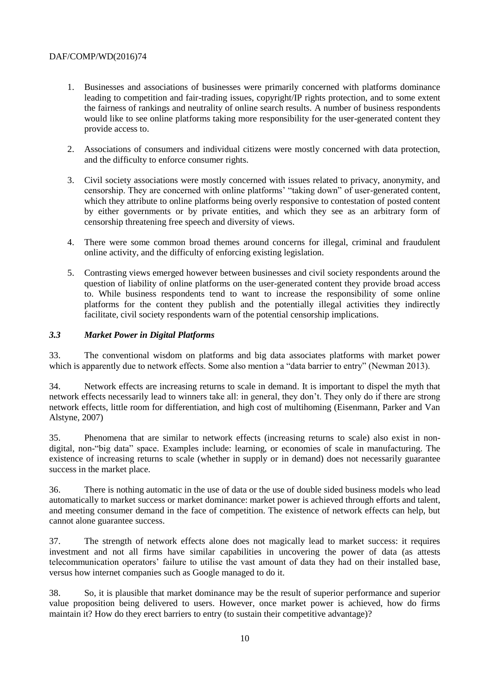- 1. Businesses and associations of businesses were primarily concerned with platforms dominance leading to competition and fair-trading issues, copyright/IP rights protection, and to some extent the fairness of rankings and neutrality of online search results. A number of business respondents would like to see online platforms taking more responsibility for the user-generated content they provide access to.
- 2. Associations of consumers and individual citizens were mostly concerned with data protection, and the difficulty to enforce consumer rights.
- 3. Civil society associations were mostly concerned with issues related to privacy, anonymity, and censorship. They are concerned with online platforms' "taking down" of user-generated content, which they attribute to online platforms being overly responsive to contestation of posted content by either governments or by private entities, and which they see as an arbitrary form of censorship threatening free speech and diversity of views.
- 4. There were some common broad themes around concerns for illegal, criminal and fraudulent online activity, and the difficulty of enforcing existing legislation.
- 5. Contrasting views emerged however between businesses and civil society respondents around the question of liability of online platforms on the user-generated content they provide broad access to. While business respondents tend to want to increase the responsibility of some online platforms for the content they publish and the potentially illegal activities they indirectly facilitate, civil society respondents warn of the potential censorship implications.

#### <span id="page-9-0"></span>*3.3 Market Power in Digital Platforms*

33. The conventional wisdom on platforms and big data associates platforms with market power which is apparently due to network effects. Some also mention a "data barrier to entry" (Newman 2013).

34. Network effects are increasing returns to scale in demand. It is important to dispel the myth that network effects necessarily lead to winners take all: in general, they don't. They only do if there are strong network effects, little room for differentiation, and high cost of multihoming (Eisenmann, Parker and Van Alstyne, 2007)

35. Phenomena that are similar to network effects (increasing returns to scale) also exist in nondigital, non-"big data" space. Examples include: learning, or economies of scale in manufacturing. The existence of increasing returns to scale (whether in supply or in demand) does not necessarily guarantee success in the market place.

36. There is nothing automatic in the use of data or the use of double sided business models who lead automatically to market success or market dominance: market power is achieved through efforts and talent, and meeting consumer demand in the face of competition. The existence of network effects can help, but cannot alone guarantee success.

37. The strength of network effects alone does not magically lead to market success: it requires investment and not all firms have similar capabilities in uncovering the power of data (as attests telecommunication operators' failure to utilise the vast amount of data they had on their installed base, versus how internet companies such as Google managed to do it.

38. So, it is plausible that market dominance may be the result of superior performance and superior value proposition being delivered to users. However, once market power is achieved, how do firms maintain it? How do they erect barriers to entry (to sustain their competitive advantage)?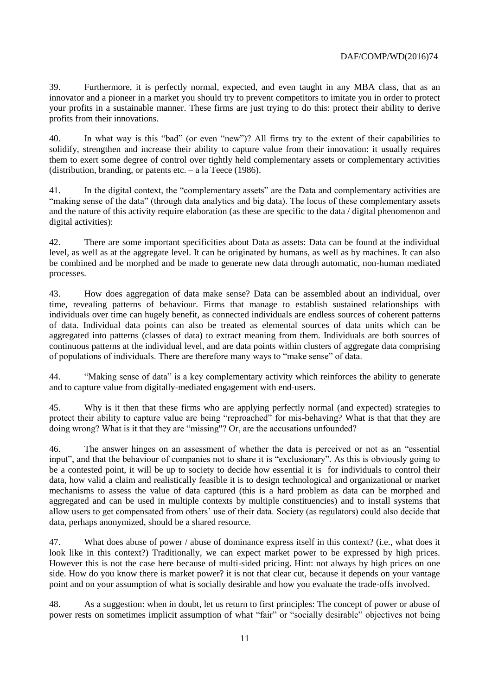39. Furthermore, it is perfectly normal, expected, and even taught in any MBA class, that as an innovator and a pioneer in a market you should try to prevent competitors to imitate you in order to protect your profits in a sustainable manner. These firms are just trying to do this: protect their ability to derive profits from their innovations.

40. In what way is this "bad" (or even "new")? All firms try to the extent of their capabilities to solidify, strengthen and increase their ability to capture value from their innovation: it usually requires them to exert some degree of control over tightly held complementary assets or complementary activities (distribution, branding, or patents etc. – a la Teece (1986).

41. In the digital context, the "complementary assets" are the Data and complementary activities are "making sense of the data" (through data analytics and big data). The locus of these complementary assets and the nature of this activity require elaboration (as these are specific to the data / digital phenomenon and digital activities):

42. There are some important specificities about Data as assets: Data can be found at the individual level, as well as at the aggregate level. It can be originated by humans, as well as by machines. It can also be combined and be morphed and be made to generate new data through automatic, non-human mediated processes.

43. How does aggregation of data make sense? Data can be assembled about an individual, over time, revealing patterns of behaviour. Firms that manage to establish sustained relationships with individuals over time can hugely benefit, as connected individuals are endless sources of coherent patterns of data. Individual data points can also be treated as elemental sources of data units which can be aggregated into patterns (classes of data) to extract meaning from them. Individuals are both sources of continuous patterns at the individual level, and are data points within clusters of aggregate data comprising of populations of individuals. There are therefore many ways to "make sense" of data.

44. "Making sense of data" is a key complementary activity which reinforces the ability to generate and to capture value from digitally-mediated engagement with end-users.

45. Why is it then that these firms who are applying perfectly normal (and expected) strategies to protect their ability to capture value are being "reproached" for mis-behaving? What is that that they are doing wrong? What is it that they are "missing"? Or, are the accusations unfounded?

46. The answer hinges on an assessment of whether the data is perceived or not as an "essential input", and that the behaviour of companies not to share it is "exclusionary". As this is obviously going to be a contested point, it will be up to society to decide how essential it is for individuals to control their data, how valid a claim and realistically feasible it is to design technological and organizational or market mechanisms to assess the value of data captured (this is a hard problem as data can be morphed and aggregated and can be used in multiple contexts by multiple constituencies) and to install systems that allow users to get compensated from others' use of their data. Society (as regulators) could also decide that data, perhaps anonymized, should be a shared resource.

47. What does abuse of power / abuse of dominance express itself in this context? (i.e., what does it look like in this context?) Traditionally, we can expect market power to be expressed by high prices. However this is not the case here because of multi-sided pricing. Hint: not always by high prices on one side. How do you know there is market power? it is not that clear cut, because it depends on your vantage point and on your assumption of what is socially desirable and how you evaluate the trade-offs involved.

48. As a suggestion: when in doubt, let us return to first principles: The concept of power or abuse of power rests on sometimes implicit assumption of what "fair" or "socially desirable" objectives not being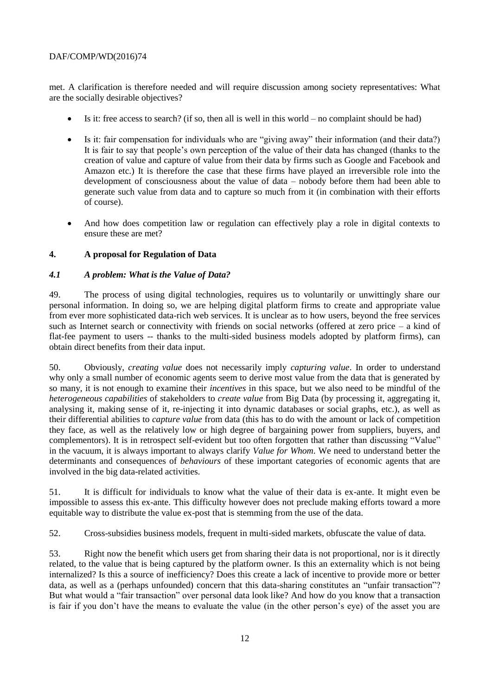met. A clarification is therefore needed and will require discussion among society representatives: What are the socially desirable objectives?

- $\bullet$  Is it: free access to search? (if so, then all is well in this world no complaint should be had)
- Is it: fair compensation for individuals who are "giving away" their information (and their data?) It is fair to say that people's own perception of the value of their data has changed (thanks to the creation of value and capture of value from their data by firms such as Google and Facebook and Amazon etc.) It is therefore the case that these firms have played an irreversible role into the development of consciousness about the value of data – nobody before them had been able to generate such value from data and to capture so much from it (in combination with their efforts of course).
- And how does competition law or regulation can effectively play a role in digital contexts to ensure these are met?

#### <span id="page-11-0"></span>**4. A proposal for Regulation of Data**

#### <span id="page-11-1"></span>*4.1 A problem: What is the Value of Data?*

49. The process of using digital technologies, requires us to voluntarily or unwittingly share our personal information. In doing so, we are helping digital platform firms to create and appropriate value from ever more sophisticated data-rich web services. It is unclear as to how users, beyond the free services such as Internet search or connectivity with friends on social networks (offered at zero price – a kind of flat-fee payment to users -- thanks to the multi-sided business models adopted by platform firms), can obtain direct benefits from their data input.

50. Obviously, *creating value* does not necessarily imply *capturing value*. In order to understand why only a small number of economic agents seem to derive most value from the data that is generated by so many, it is not enough to examine their *incentives* in this space, but we also need to be mindful of the *heterogeneous capabilities* of stakeholders to *create value* from Big Data (by processing it, aggregating it, analysing it, making sense of it, re-injecting it into dynamic databases or social graphs, etc.), as well as their differential abilities to *capture value* from data (this has to do with the amount or lack of competition they face, as well as the relatively low or high degree of bargaining power from suppliers, buyers, and complementors). It is in retrospect self-evident but too often forgotten that rather than discussing "Value" in the vacuum, it is always important to always clarify *Value for Whom*. We need to understand better the determinants and consequences of *behaviours* of these important categories of economic agents that are involved in the big data-related activities.

51. It is difficult for individuals to know what the value of their data is ex-ante. It might even be impossible to assess this ex-ante. This difficulty however does not preclude making efforts toward a more equitable way to distribute the value ex-post that is stemming from the use of the data.

52. Cross-subsidies business models, frequent in multi-sided markets, obfuscate the value of data.

53. Right now the benefit which users get from sharing their data is not proportional, nor is it directly related, to the value that is being captured by the platform owner. Is this an externality which is not being internalized? Is this a source of inefficiency? Does this create a lack of incentive to provide more or better data, as well as a (perhaps unfounded) concern that this data-sharing constitutes an "unfair transaction"? But what would a "fair transaction" over personal data look like? And how do you know that a transaction is fair if you don't have the means to evaluate the value (in the other person's eye) of the asset you are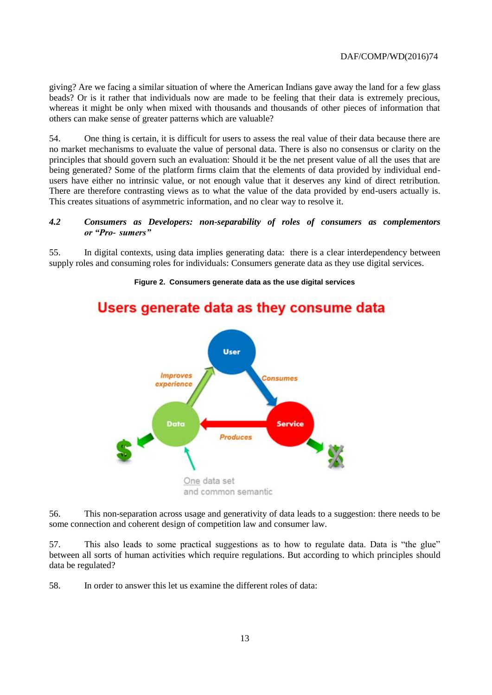giving? Are we facing a similar situation of where the American Indians gave away the land for a few glass beads? Or is it rather that individuals now are made to be feeling that their data is extremely precious, whereas it might be only when mixed with thousands and thousands of other pieces of information that others can make sense of greater patterns which are valuable?

54. One thing is certain, it is difficult for users to assess the real value of their data because there are no market mechanisms to evaluate the value of personal data. There is also no consensus or clarity on the principles that should govern such an evaluation: Should it be the net present value of all the uses that are being generated? Some of the platform firms claim that the elements of data provided by individual endusers have either no intrinsic value, or not enough value that it deserves any kind of direct retribution. There are therefore contrasting views as to what the value of the data provided by end-users actually is. This creates situations of asymmetric information, and no clear way to resolve it.

#### <span id="page-12-0"></span>*4.2 Consumers as Developers: non-separability of roles of consumers as complementors or "Pro- sumers"*

55. In digital contexts, using data implies generating data: there is a clear interdependency between supply roles and consuming roles for individuals: Consumers generate data as they use digital services.

<span id="page-12-1"></span>**Figure 2. Consumers generate data as the use digital services**

# **User** *Improves* Consumes experience Data **Service** Produces One data set and common semantic

## Users generate data as they consume data

56. This non-separation across usage and generativity of data leads to a suggestion: there needs to be some connection and coherent design of competition law and consumer law.

57. This also leads to some practical suggestions as to how to regulate data. Data is "the glue" between all sorts of human activities which require regulations. But according to which principles should data be regulated?

58. In order to answer this let us examine the different roles of data: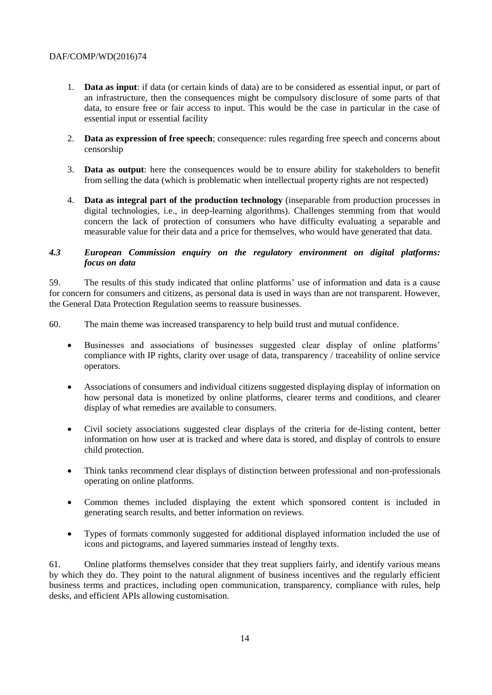- 1. **Data as input**: if data (or certain kinds of data) are to be considered as essential input, or part of an infrastructure, then the consequences might be compulsory disclosure of some parts of that data, to ensure free or fair access to input. This would be the case in particular in the case of essential input or essential facility
- 2. **Data as expression of free speech**; consequence: rules regarding free speech and concerns about censorship
- 3. **Data as output**: here the consequences would be to ensure ability for stakeholders to benefit from selling the data (which is problematic when intellectual property rights are not respected)
- 4. **Data as integral part of the production technology** (inseparable from production processes in digital technologies, i.e., in deep-learning algorithms). Challenges stemming from that would concern the lack of protection of consumers who have difficulty evaluating a separable and measurable value for their data and a price for themselves, who would have generated that data.

#### <span id="page-13-0"></span>*4.3 European Commission enquiry on the regulatory environment on digital platforms: focus on data*

59. The results of this study indicated that online platforms' use of information and data is a cause for concern for consumers and citizens, as personal data is used in ways than are not transparent. However, the General Data Protection Regulation seems to reassure businesses.

- 60. The main theme was increased transparency to help build trust and mutual confidence.
	- Businesses and associations of businesses suggested clear display of online platforms' compliance with IP rights, clarity over usage of data, transparency / traceability of online service operators.
	- Associations of consumers and individual citizens suggested displaying display of information on how personal data is monetized by online platforms, clearer terms and conditions, and clearer display of what remedies are available to consumers.
	- Civil society associations suggested clear displays of the criteria for de-listing content, better information on how user at is tracked and where data is stored, and display of controls to ensure child protection.
	- Think tanks recommend clear displays of distinction between professional and non-professionals operating on online platforms.
	- Common themes included displaying the extent which sponsored content is included in generating search results, and better information on reviews.
	- Types of formats commonly suggested for additional displayed information included the use of icons and pictograms, and layered summaries instead of lengthy texts.

61. Online platforms themselves consider that they treat suppliers fairly, and identify various means by which they do. They point to the natural alignment of business incentives and the regularly efficient business terms and practices, including open communication, transparency, compliance with rules, help desks, and efficient APIs allowing customisation.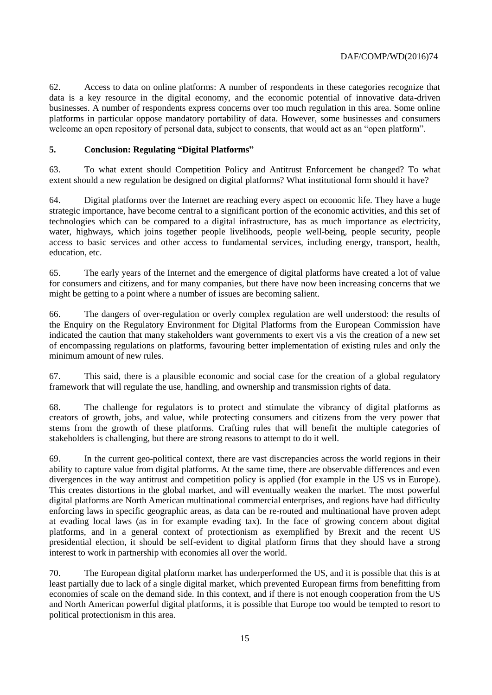62. Access to data on online platforms: A number of respondents in these categories recognize that data is a key resource in the digital economy, and the economic potential of innovative data-driven businesses. A number of respondents express concerns over too much regulation in this area. Some online platforms in particular oppose mandatory portability of data. However, some businesses and consumers welcome an open repository of personal data, subject to consents, that would act as an "open platform".

#### <span id="page-14-0"></span>**5. Conclusion: Regulating "Digital Platforms"**

63. To what extent should Competition Policy and Antitrust Enforcement be changed? To what extent should a new regulation be designed on digital platforms? What institutional form should it have?

64. Digital platforms over the Internet are reaching every aspect on economic life. They have a huge strategic importance, have become central to a significant portion of the economic activities, and this set of technologies which can be compared to a digital infrastructure, has as much importance as electricity, water, highways, which joins together people livelihoods, people well-being, people security, people access to basic services and other access to fundamental services, including energy, transport, health, education, etc.

65. The early years of the Internet and the emergence of digital platforms have created a lot of value for consumers and citizens, and for many companies, but there have now been increasing concerns that we might be getting to a point where a number of issues are becoming salient.

66. The dangers of over-regulation or overly complex regulation are well understood: the results of the Enquiry on the Regulatory Environment for Digital Platforms from the European Commission have indicated the caution that many stakeholders want governments to exert vis a vis the creation of a new set of encompassing regulations on platforms, favouring better implementation of existing rules and only the minimum amount of new rules.

67. This said, there is a plausible economic and social case for the creation of a global regulatory framework that will regulate the use, handling, and ownership and transmission rights of data.

68. The challenge for regulators is to protect and stimulate the vibrancy of digital platforms as creators of growth, jobs, and value, while protecting consumers and citizens from the very power that stems from the growth of these platforms. Crafting rules that will benefit the multiple categories of stakeholders is challenging, but there are strong reasons to attempt to do it well.

69. In the current geo-political context, there are vast discrepancies across the world regions in their ability to capture value from digital platforms. At the same time, there are observable differences and even divergences in the way antitrust and competition policy is applied (for example in the US vs in Europe). This creates distortions in the global market, and will eventually weaken the market. The most powerful digital platforms are North American multinational commercial enterprises, and regions have had difficulty enforcing laws in specific geographic areas, as data can be re-routed and multinational have proven adept at evading local laws (as in for example evading tax). In the face of growing concern about digital platforms, and in a general context of protectionism as exemplified by Brexit and the recent US presidential election, it should be self-evident to digital platform firms that they should have a strong interest to work in partnership with economies all over the world.

70. The European digital platform market has underperformed the US, and it is possible that this is at least partially due to lack of a single digital market, which prevented European firms from benefitting from economies of scale on the demand side. In this context, and if there is not enough cooperation from the US and North American powerful digital platforms, it is possible that Europe too would be tempted to resort to political protectionism in this area.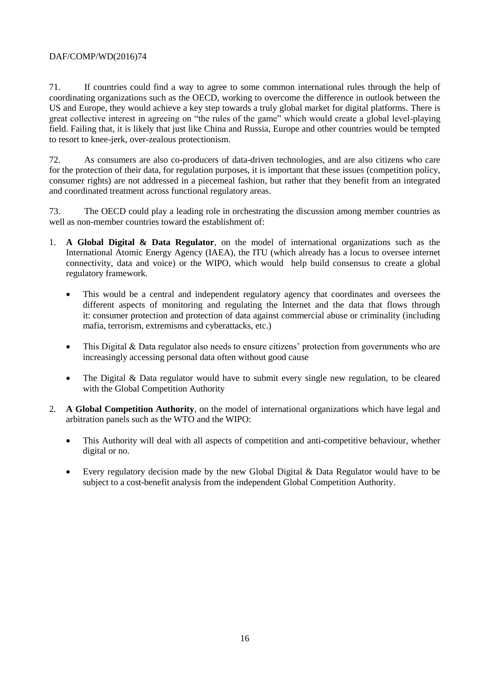71. If countries could find a way to agree to some common international rules through the help of coordinating organizations such as the OECD, working to overcome the difference in outlook between the US and Europe, they would achieve a key step towards a truly global market for digital platforms. There is great collective interest in agreeing on "the rules of the game" which would create a global level-playing field. Failing that, it is likely that just like China and Russia, Europe and other countries would be tempted to resort to knee-jerk, over-zealous protectionism.

72. As consumers are also co-producers of data-driven technologies, and are also citizens who care for the protection of their data, for regulation purposes, it is important that these issues (competition policy, consumer rights) are not addressed in a piecemeal fashion, but rather that they benefit from an integrated and coordinated treatment across functional regulatory areas.

73. The OECD could play a leading role in orchestrating the discussion among member countries as well as non-member countries toward the establishment of:

- 1. **A Global Digital & Data Regulator**, on the model of international organizations such as the International Atomic Energy Agency (IAEA), the ITU (which already has a locus to oversee internet connectivity, data and voice) or the WIPO, which would help build consensus to create a global regulatory framework.
	- This would be a central and independent regulatory agency that coordinates and oversees the different aspects of monitoring and regulating the Internet and the data that flows through it: consumer protection and protection of data against commercial abuse or criminality (including mafia, terrorism, extremisms and cyberattacks, etc.)
	- This Digital & Data regulator also needs to ensure citizens' protection from governments who are increasingly accessing personal data often without good cause
	- The Digital & Data regulator would have to submit every single new regulation, to be cleared with the Global Competition Authority
- 2. **A Global Competition Authority**, on the model of international organizations which have legal and arbitration panels such as the WTO and the WIPO:
	- This Authority will deal with all aspects of competition and anti-competitive behaviour, whether digital or no.
	- Every regulatory decision made by the new Global Digital & Data Regulator would have to be subject to a cost-benefit analysis from the independent Global Competition Authority.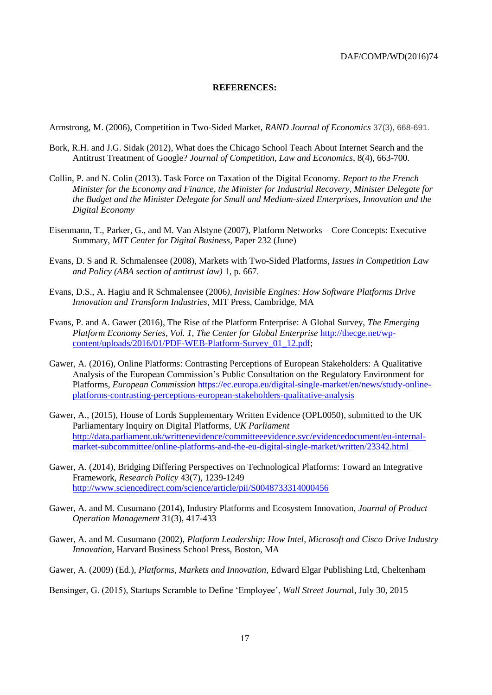#### **REFERENCES:**

<span id="page-16-0"></span>Armstrong, M. (2006), Competition in Two-Sided Market, *RAND Journal of Economics* 37(3), 668-691.

- Bork, R.H. and J.G. Sidak (2012), What does the Chicago School Teach About Internet Search and the Antitrust Treatment of Google? *Journal of Competition, Law and Economics*, 8(4), 663-700.
- Collin, P. and N. Colin (2013). Task Force on Taxation of the Digital Economy. *Report to the French Minister for the Economy and Finance, the Minister for Industrial Recovery, Minister Delegate for the Budget and the Minister Delegate for Small and Medium-sized Enterprises, Innovation and the Digital Economy*
- Eisenmann, T., Parker, G., and M. Van Alstyne (2007), Platform Networks Core Concepts: Executive Summary, *MIT Center for Digital Business*, Paper 232 (June)
- Evans, D. S and R. Schmalensee (2008), Markets with Two-Sided Platforms*, Issues in Competition Law and Policy (ABA section of antitrust law)* 1, p. 667.
- Evans, D.S., A. Hagiu and R Schmalensee (2006*), Invisible Engines: How Software Platforms Drive Innovation and Transform Industries*, MIT Press, Cambridge, MA
- Evans, P. and A. Gawer (2016), The Rise of the Platform Enterprise: A Global Survey, *The Emerging Platform Economy Series, Vol. 1, The Center for Global Enterprise* [http://thecge.net/wp](http://thecge.net/wp-content/uploads/2016/01/PDF-WEB-Platform-Survey_01_12.pdf)[content/uploads/2016/01/PDF-WEB-Platform-Survey\\_01\\_12.pdf;](http://thecge.net/wp-content/uploads/2016/01/PDF-WEB-Platform-Survey_01_12.pdf)
- Gawer, A. (2016), Online Platforms: Contrasting Perceptions of European Stakeholders: A Qualitative Analysis of the European Commission's Public Consultation on the Regulatory Environment for Platforms, *European Commission* [https://ec.europa.eu/digital-single-market/en/news/study-online](https://ec.europa.eu/digital-single-market/en/news/study-online-platforms-contrasting-perceptions-european-stakeholders-qualitative-analysis)[platforms-contrasting-perceptions-european-stakeholders-qualitative-analysis](https://ec.europa.eu/digital-single-market/en/news/study-online-platforms-contrasting-perceptions-european-stakeholders-qualitative-analysis)
- Gawer, A., (2015), House of Lords Supplementary Written Evidence (OPL0050), submitted to the UK Parliamentary Inquiry on Digital Platforms, *UK Parliament* [http://data.parliament.uk/writtenevidence/committeeevidence.svc/evidencedocument/eu-internal](http://data.parliament.uk/writtenevidence/committeeevidence.svc/evidencedocument/eu-internal-market-subcommittee/online-platforms-and-the-eu-digital-single-market/written/23342.html)[market-subcommittee/online-platforms-and-the-eu-digital-single-market/written/23342.html](http://data.parliament.uk/writtenevidence/committeeevidence.svc/evidencedocument/eu-internal-market-subcommittee/online-platforms-and-the-eu-digital-single-market/written/23342.html)
- Gawer, A. (2014), Bridging Differing Perspectives on Technological Platforms: Toward an Integrative Framework, *Research Policy* 43(7), 1239-1249 <http://www.sciencedirect.com/science/article/pii/S0048733314000456>
- Gawer, A. and M. Cusumano (2014), Industry Platforms and Ecosystem Innovation*, Journal of Product Operation Management* 31(3), 417-433
- Gawer, A. and M. Cusumano (2002), *Platform Leadership: How Intel, Microsoft and Cisco Drive Industry Innovation*, Harvard Business School Press, Boston, MA
- Gawer, A. (2009) (Ed.), *Platforms, Markets and Innovation*, Edward Elgar Publishing Ltd, Cheltenham

Bensinger, G. (2015), Startups Scramble to Define 'Employee', *Wall Street Journa*l, July 30, 2015